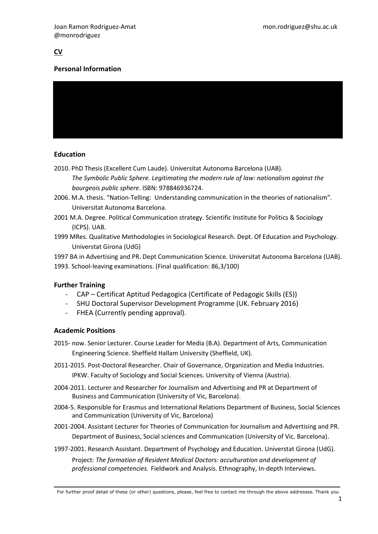# **CV**

# Personal Information



# Education

- 2010. PhD Thesis (Excellent Cum Laude). Universitat Autonoma Barcelona (UAB). The Symbolic Public Sphere. Legitimating the modern rule of law: nationalism against the bourgeois public sphere. ISBN: 978846936724.
- 2006. M.A. thesis. "Nation-Telling: Understanding communication in the theories of nationalism". Universitat Autonoma Barcelona.
- 2001 M.A. Degree. Political Communication strategy. Scientific Institute for Politics & Sociology (ICPS). UAB.
- 1999 MRes. Qualitative Methodologies in Sociological Research. Dept. Of Education and Psychology. Universtat Girona (UdG)
- 1997 BA in Advertising and PR. Dept Communication Science. Universitat Autonoma Barcelona (UAB).
- 1993. School-leaving examinations. (Final qualification: 86,3/100)

# Further Training

- CAP Certificat Aptitud Pedagogica (Certificate of Pedagogic Skills (ES))
- SHU Doctoral Supervisor Development Programme (UK. February 2016)
- FHEA (Currently pending approval).

#### Academic Positions

- 2015- now. Senior Lecturer. Course Leader for Media (B.A). Department of Arts, Communication Engineering Science. Sheffield Hallam University (Sheffield, UK).
- 2011-2015. Post-Doctoral Researcher. Chair of Governance, Organization and Media Industries. IPKW. Faculty of Sociology and Social Sciences. University of Vienna (Austria).
- 2004-2011. Lecturer and Researcher for Journalism and Advertising and PR at Department of Business and Communication (University of Vic, Barcelona).
- 2004-5. Responsible for Erasmus and International Relations Department of Business, Social Sciences and Communication (University of Vic, Barcelona)
- 2001-2004. Assistant Lecturer for Theories of Communication for Journalism and Advertising and PR. Department of Business, Social sciences and Communication (University of Vic. Barcelona).
- 1997-2001. Research Assistant. Department of Psychology and Education. Universtat Girona (UdG).

Project: The formation of Resident Medical Doctors: acculturation and development of professional competencies. Fieldwork and Analysis. Ethnography, In-depth Interviews.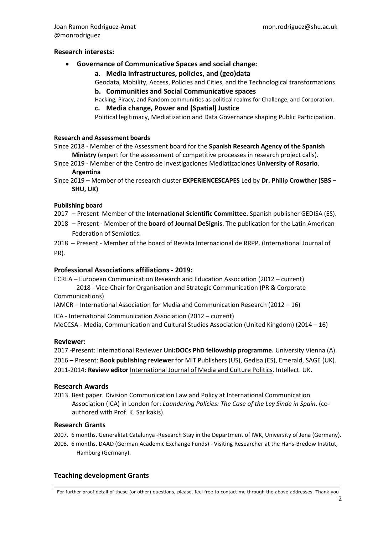#### Research interests:

#### Governance of Communicative Spaces and social change:

#### a. Media infrastructures, policies, and (geo)data

Geodata, Mobility, Access, Policies and Cities, and the Technological transformations.

b. Communities and Social Communicative spaces

Hacking, Piracy, and Fandom communities as political realms for Challenge, and Corporation. c. Media change, Power and (Spatial) Justice

Political legitimacy, Mediatization and Data Governance shaping Public Participation.

# Research and Assessment boards

Since 2018 - Member of the Assessment board for the Spanish Research Agency of the Spanish Ministry (expert for the assessment of competitive processes in research project calls).

Since 2019 - Member of the Centro de Investigaciones Mediatizaciones University of Rosario. Argentina

Since 2019 – Member of the research cluster EXPERIENCESCAPES Led by Dr. Philip Crowther (SBS – SHU, UK)

#### Publishing board

2017 – Present Member of the International Scientific Committee. Spanish publisher GEDISA (ES).

2018 – Present - Member of the board of Journal DeSignis. The publication for the Latin American Federation of Semiotics.

2018 – Present - Member of the board of Revista Internacional de RRPP. (International Journal of PR).

#### Professional Associations affiliations - 2019:

ECREA – European Communication Research and Education Association (2012 – current) 2018 - Vice-Chair for Organisation and Strategic Communication (PR & Corporate Communications)

IAMCR – International Association for Media and Communication Research (2012 – 16)

ICA - International Communication Association (2012 – current) MeCCSA - Media, Communication and Cultural Studies Association (United Kingdom) (2014 – 16)

#### Reviewer:

2017 -Present: International Reviewer Uni:DOCs PhD fellowship programme. University Vienna (A). 2016 – Present: Book publishing reviewer for MIT Publishers (US), Gedisa (ES), Emerald, SAGE (UK). 2011-2014: Review editor International Journal of Media and Culture Politics. Intellect. UK.

#### Research Awards

2013. Best paper. Division Communication Law and Policy at International Communication Association (ICA) in London for: Laundering Policies: The Case of the Ley Sinde in Spain. (coauthored with Prof. K. Sarikakis).

#### Research Grants

2007. 6 months. Generalitat Catalunya -Research Stay in the Department of IWK, University of Jena (Germany).

2008. 6 months. DAAD (German Academic Exchange Funds) - Visiting Researcher at the Hans-Bredow Institut, Hamburg (Germany).

#### Teaching development Grants

For further proof detail of these (or other) questions, please, feel free to contact me through the above addresses. Thank you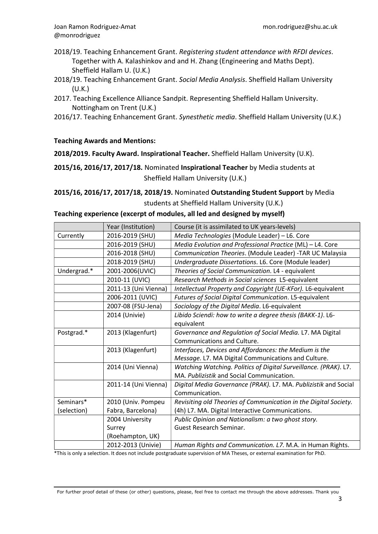- 2018/19. Teaching Enhancement Grant. Registering student attendance with RFDI devices. Together with A. Kalashinkov and and H. Zhang (Engineering and Maths Dept). Sheffield Hallam U. (U.K.)
- 2018/19. Teaching Enhancement Grant. Social Media Analysis. Sheffield Hallam University (U.K.)
- 2017. Teaching Excellence Alliance Sandpit. Representing Sheffield Hallam University. Nottingham on Trent (U.K.)
- 2016/17. Teaching Enhancement Grant. Synesthetic media. Sheffield Hallam University (U.K.)

# Teaching Awards and Mentions:

# 2018/2019. Faculty Award. Inspirational Teacher. Sheffield Hallam University (U.K).

2015/16, 2016/17, 2017/18. Nominated Inspirational Teacher by Media students at Sheffield Hallam University (U.K.)

# 2015/16, 2016/17, 2017/18, 2018/19. Nominated Outstanding Student Support by Media students at Sheffield Hallam University (U.K.)

# Teaching experience (excerpt of modules, all led and designed by myself)

|             | Year (Institution)   | Course (it is assimilated to UK years-levels)                    |
|-------------|----------------------|------------------------------------------------------------------|
| Currently   | 2016-2019 (SHU)      | Media Technologies (Module Leader) - L6. Core                    |
|             | 2016-2019 (SHU)      | Media Evolution and Professional Practice (ML) - L4. Core        |
|             | 2016-2018 (SHU)      | Communication Theories. (Module Leader) -TAR UC Malaysia         |
|             | 2018-2019 (SHU)      | Undergraduate Dissertations. L6. Core (Module leader)            |
| Undergrad.* | 2001-2006(UVIC)      | Theories of Social Communication. L4 - equivalent                |
|             | 2010-11 (UVIC)       | Research Methods in Social sciences L5-equivalent                |
|             | 2011-13 (Uni Vienna) | Intellectual Property and Copyright (UE-KFor). L6-equivalent     |
|             | 2006-2011 (UVIC)     | Futures of Social Digital Communication. L5-equivalent           |
|             | 2007-08 (FSU-Jena)   | Sociology of the Digital Media. L6-equivalent                    |
|             | 2014 (Univie)        | Libido Sciendi: how to write a degree thesis (BAKK-1). L6-       |
|             |                      | equivalent                                                       |
| Postgrad.*  | 2013 (Klagenfurt)    | Governance and Regulation of Social Media. L7. MA Digital        |
|             |                      | Communications and Culture.                                      |
|             | 2013 (Klagenfurt)    | Interfaces, Devices and Affordances: the Medium is the           |
|             |                      | Message. L7. MA Digital Communications and Culture.              |
|             | 2014 (Uni Vienna)    | Watching Watching. Politics of Digital Surveillance. (PRAK). L7. |
|             |                      | MA. Publizistik and Social Communication.                        |
|             | 2011-14 (Uni Vienna) | Digital Media Governance (PRAK). L7. MA. Publizistik and Social  |
|             |                      | Communication.                                                   |
| Seminars*   | 2010 (Univ. Pompeu   | Revisiting old Theories of Communication in the Digital Society. |
| (selection) | Fabra, Barcelona)    | (4h) L7. MA. Digital Interactive Communications.                 |
|             | 2004 University      | Public Opinion and Nationalism: a two ghost story.               |
|             | Surrey               | <b>Guest Research Seminar.</b>                                   |
|             | (Roehampton, UK)     |                                                                  |
|             | 2012-2013 (Univie)   | Human Rights and Communication. L7. M.A. in Human Rights.        |

\*This is only a selection. It does not include postgraduate supervision of MA Theses, or external examination for PhD.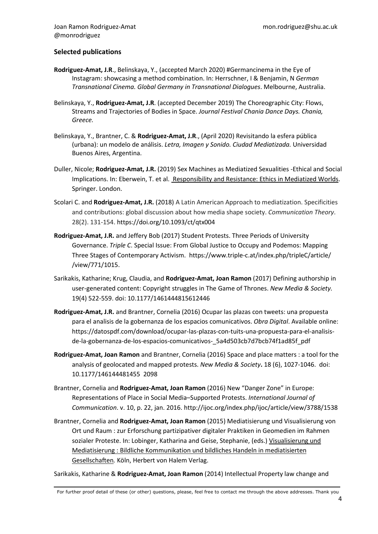### Selected publications

- Rodriguez-Amat, J.R., Belinskaya, Y., (accepted March 2020) #Germancinema in the Eye of Instagram: showcasing a method combination. In: Herrschner, I & Benjamin, N German Transnational Cinema. Global Germany in Transnational Dialogues. Melbourne, Australia.
- Belinskaya, Y., Rodriguez-Amat, J.R. (accepted December 2019) The Choreographic City: Flows, Streams and Trajectories of Bodies in Space. Journal Festival Chania Dance Days. Chania, Greece.
- Belinskaya, Y., Brantner, C. & Rodriguez-Amat, J.R., (April 2020) Revisitando la esfera pública (urbana): un modelo de análisis. Letra, Imagen y Sonido. Ciudad Mediatizada. Universidad Buenos Aires, Argentina.
- Duller, Nicole; Rodriguez-Amat, J.R. (2019) Sex Machines as Mediatized Sexualities -Ethical and Social Implications. In: Eberwein, T. et al. Responsibility and Resistance: Ethics in Mediatized Worlds. Springer. London.
- Scolari C. and Rodriguez-Amat, J.R. (2018) A Latin American Approach to mediatization. Specificities and contributions: global discussion about how media shape society. Communication Theory. 28(2). 131-154. https://doi.org/10.1093/ct/qtx004
- Rodriguez-Amat, J.R. and Jeffery Bob (2017) Student Protests. Three Periods of University Governance. Triple C. Special Issue: From Global Justice to Occupy and Podemos: Mapping Three Stages of Contemporary Activism. https://www.triple-c.at/index.php/tripleC/article/ /view/771/1015.
- Sarikakis, Katharine; Krug, Claudia, and Rodriguez-Amat, Joan Ramon (2017) Defining authorship in user-generated content: Copyright struggles in The Game of Thrones. New Media & Society. 19(4) 522-559. doi: 10.1177/1461444815612446
- Rodriguez-Amat, J.R. and Brantner, Cornelia (2016) Ocupar las plazas con tweets: una propuesta para el analisis de la gobernanza de los espacios comunicativos. Obra Digital. Available online: https://datospdf.com/download/ocupar-las-plazas-con-tuits-una-propuesta-para-el-analisisde-la-gobernanza-de-los-espacios-comunicativos-\_5a4d503cb7d7bcb74f1ad85f\_pdf
- Rodriguez-Amat, Joan Ramon and Brantner, Cornelia (2016) Space and place matters : a tool for the analysis of geolocated and mapped protests. New Media & Society. 18 (6), 1027-1046. doi: 10.1177/146144481455 2098
- Brantner, Cornelia and Rodriguez-Amat, Joan Ramon (2016) New "Danger Zone" in Europe: Representations of Place in Social Media–Supported Protests. International Journal of Communication. v. 10, p. 22, jan. 2016. http://ijoc.org/index.php/ijoc/article/view/3788/1538
- Brantner, Cornelia and Rodriguez-Amat, Joan Ramon (2015) Mediatisierung und Visualisierung von Ort und Raum : zur Erforschung partizipativer digitaler Praktiken in Geomedien im Rahmen sozialer Proteste. In: Lobinger, Katharina and Geise, Stephanie, (eds.) Visualisierung und Mediatisierung : Bildliche Kommunikation und bildliches Handeln in mediatisierten Gesellschaften. Köln, Herbert von Halem Verlag.

Sarikakis, Katharine & Rodriguez-Amat, Joan Ramon (2014) Intellectual Property law change and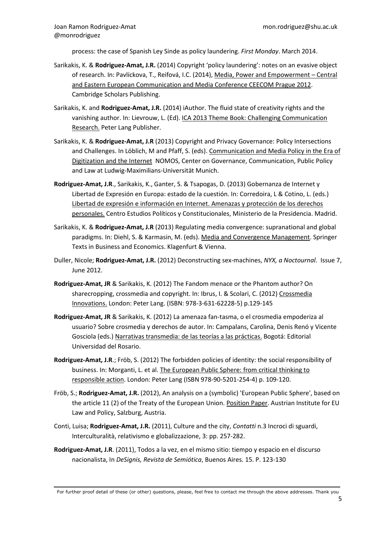process: the case of Spanish Ley Sinde as policy laundering. First Monday. March 2014.

- Sarikakis, K. & Rodriguez-Amat, J.R. (2014) Copyright 'policy laundering': notes on an evasive object of research. In: Pavlíckova, T., Reifová, I.C. (2014), Media, Power and Empowerment – Central and Eastern European Communication and Media Conference CEECOM Prague 2012. Cambridge Scholars Publishing.
- Sarikakis, K. and Rodriguez-Amat, J.R. (2014) iAuthor. The fluid state of creativity rights and the vanishing author. In: Lievrouw, L. (Ed). ICA 2013 Theme Book: Challenging Communication Research. Peter Lang Publisher.
- Sarikakis, K. & Rodriguez-Amat, J.R (2013) Copyright and Privacy Governance: Policy Intersections and Challenges. In Löblich, M and Pfaff, S. (eds). Communication and Media Policy in the Era of Digitization and the Internet NOMOS, Center on Governance, Communication, Public Policy and Law at Ludwig-Maximilians-Universität Munich.
- Rodriguez-Amat, J.R., Sarikakis, K., Ganter, S. & Tsapogas, D. (2013) Gobernanza de Internet y Libertad de Expresión en Europa: estado de la cuestión. In: Corredoira, L & Cotino, L. (eds.) Libertad de expresión e información en Internet. Amenazas y protección de los derechos personales. Centro Estudios Políticos y Constitucionales, Ministerio de la Presidencia. Madrid.
- Sarikakis, K. & Rodriguez-Amat, J.R (2013) Regulating media convergence: supranational and global paradigms. In: Diehl, S. & Karmasin, M. (eds). Media and Convergence Management. Springer Texts in Business and Economics. Klagenfurt & Vienna.
- Duller, Nicole; Rodriguez-Amat, J.R. (2012) Deconstructing sex-machines, NYX, a Noctournal. Issue 7, June 2012.
- Rodriguez-Amat, JR & Sarikakis, K. (2012) The Fandom menace or the Phantom author? On sharecropping, crossmedia and copyright. In: Ibrus, I. & Scolari, C. (2012) Crossmedia Innovations. London: Peter Lang. (ISBN: 978-3-631-62228-5) p.129-145
- Rodriguez-Amat, JR & Sarikakis, K. (2012) La amenaza fan-tasma, o el crosmedia empoderiza al usuario? Sobre crosmedia y derechos de autor. In: Campalans, Carolina, Denis Renó y Vicente Gosciola (eds.) Narrativas transmedia: de las teorías a las prácticas. Bogotá: Editorial Universidad del Rosario.
- Rodriguez-Amat, J.R.; Fröb, S. (2012) The forbidden policies of identity: the social responsibility of business. In: Morganti, L. et al. The European Public Sphere: from critical thinking to responsible action. London: Peter Lang (ISBN 978-90-5201-254-4) p. 109-120.
- Fröb, S.; Rodriguez-Amat, J.R. (2012), An analysis on a (symbolic) 'European Public Sphere', based on the article 11 (2) of the Treaty of the European Union. Position Paper. Austrian Institute for EU Law and Policy, Salzburg, Austria.
- Conti, Luisa; Rodriguez-Amat, J.R. (2011), Culture and the city, Contatti n.3 Incroci di sguardi, Interculturalità, relativismo e globalizzazione, 3: pp. 257-282.
- Rodriguez-Amat, J.R. (2011), Todos a la vez, en el mismo sitio: tiempo y espacio en el discurso nacionalista, In DeSignis, Revista de Semiótica, Buenos Aires. 15. P. 123-130

For further proof detail of these (or other) questions, please, feel free to contact me through the above addresses. Thank you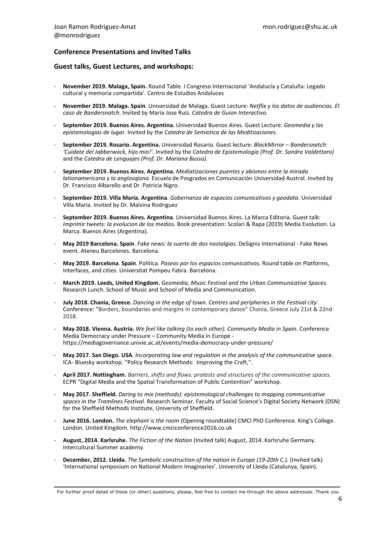# Conference Presentations and Invited Talks

#### Guest talks, Guest Lectures, and workshops:

- November 2019. Malaga, Spain. Round Table. I Congreso Internacional 'Andalucía y Cataluña: Legado cultural y memoria compartida'. Centro de Estudios Andaluces
- November 2019. Malaga. Spain. Universidad de Malaga. Guest Lecture: Netflix y los datos de audiencias. El caso de Bandersnatch. Invited by Maria Jose Ruiz. Catedra de Guion Interactivo.
- September 2019. Buenos Aires. Argentina. Universidad Buenos Aires. Guest Lecture: Geomedia y las epistemologias de lugar. Invited by the Catedra de Semiotica de las Meditizaciones.
- September 2019. Rosario. Argentina. Universidad Rosario. Guest lecture: BlackMirror Bandersnatch: 'Cuidate del Jabberwock, hijo mio!'. Invited by the Catedra de Epistemologia (Prof. Dr. Sandra Valdettaro) and the Catedra de Lenguajes (Prof. Dr. Mariana Busso).
- September 2019. Buenos Aires. Argentina. Mediatizaciones puentes y abismos entre la mirada lationamericana y la anglosajona. Escuela de Posgrados en Comunicación Universidad Austral. Invited by Dr. Francisco Albarello and Dr. Patricia Nigro.
- September 2019. Villa Maria. Argentina. Gobernanza de espacios comunicativos y geodata. Universidad Villa Maria. Invited by Dr. Malvina Rodriguez
- September 2019. Buenos Aires. Argentina. Universidad Buenos Aires. La Marca Editoria. Guest talk: Imprimir tweets: la evolucion de los medios. Book presentation: Scolari & Rapa (2019) Media Evolution. La Marca. Buenos Aires (Argentina).
- May 2019 Barcelona. Spain. Fake news: la suerte de dos nostalgias. DeSignis International Fake News event. Ateneu Barcelones. Barcelona.
- May 2019. Barcelona. Spain. Politica. Paseos por los espacios comunicativos. Round table on Platforms, Interfaces, and cities. Universitat Pompeu Fabra. Barcelona.
- March 2019. Leeds, United Kingdom. Geomedia, Music Festival and the Urban Communicative Spaces. Research Lunch. School of Music and School of Media and Communication.
- July 2018. Chania, Greece. Dancing in the edge of town. Centres and peripheries in the Festival city. Conference: "Borders, boundaries and margins in contemporary dance" Chania, Greece July 21st & 22nd 2018.
- May 2018. Vienna. Austria. We feel like talking (to each other). Community Media in Spain. Conference Media Democracy under Pressure – Community Media in Europe https://mediagovernance.univie.ac.at/events/media-democracy-under-pressure/
- May 2017. San Diego. USA. Incorporating law and regulation in the analysis of the communicative space. ICA- Bluesky workshop. "Policy Research Methods: Improving the Craft,".
- April 2017. Nottingham. Barriers, shifts and flows: protests and structures of the communicative spaces. ECPR "Digital Media and the Spatial Transformation of Public Contention" workshop.
- May 2017. Sheffield. Daring to mix (methods): epistemological challenges to mapping communicative spaces in the Tramlines Festival. Research Seminar. Faculty of Social Science's Digital Society Network (DSN) for the Sheffield Methods Institute, University of Sheffield.
- June 2016. London. The elephant is the room (Opening roundtable) CMCI PhD Conference. King's College. London. United Kingdom. http://www.cmciconference2016.co.uk
- August, 2014. Karlsruhe. The Fiction of the Nation (Invited talk) August, 2014. Karlsruhe Germany. Intercultural Summer academy.
- December, 2012. Lleida. The Symbolic construction of the nation in Europe (19-20th C.). (Invited talk) 'International symposium on National Modern Imaginaries'. University of Lleida (Catalunya, Spain).

For further proof detail of these (or other) questions, please, feel free to contact me through the above addresses. Thank you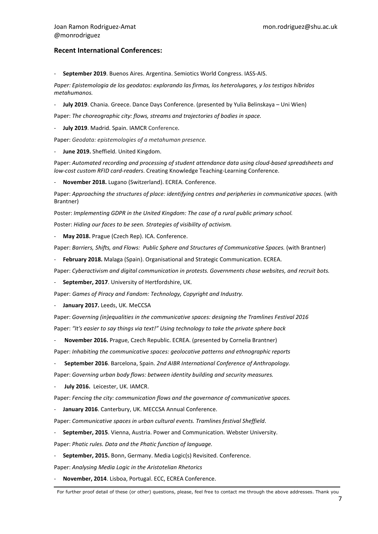#### Recent International Conferences:

September 2019. Buenos Aires. Argentina. Semiotics World Congress. IASS-AIS.

Paper: Epistemologia de los geodatos: explorando las firmas, los heterolugares, y los testigos híbridos metahumanos.

July 2019. Chania. Greece. Dance Days Conference. (presented by Yulia Belinskaya - Uni Wien)

Paper: The choreographic city: flows, streams and trajectories of bodies in space.

July 2019. Madrid. Spain. IAMCR Conference.

Paper: Geodata: epistemologies of a metahuman presence.

June 2019. Sheffield. United Kingdom.

Paper: Automated recording and processing of student attendance data using cloud-based spreadsheets and low-cost custom RFID card-readers. Creating Knowledge Teaching-Learning Conference.

November 2018. Lugano (Switzerland). ECREA. Conference.

Paper: Approaching the structures of place: identifying centres and peripheries in communicative spaces. (with Brantner)

Poster: Implementing GDPR in the United Kingdom: The case of a rural public primary school.

Poster: Hiding our faces to be seen. Strategies of visibility of activism.

May 2018. Prague (Czech Rep). ICA. Conference.

Paper: Barriers, Shifts, and Flows: Public Sphere and Structures of Communicative Spaces. (with Brantner)

February 2018. Malaga (Spain). Organisational and Strategic Communication. ECREA.

Paper: Cyberactivism and digital communication in protests. Governments chase websites, and recruit bots.

September, 2017. University of Hertfordshire, UK.

Paper: Games of Piracy and Fandom: Technology, Copyright and Industry.

January 2017. Leeds, UK. MeCCSA

Paper: Governing (in)equalities in the communicative spaces: designing the Tramlines Festival 2016 Paper: "It's easier to say things via text!" Using technology to take the private sphere back

November 2016. Prague, Czech Republic. ECREA. (presented by Cornelia Brantner)

Paper: Inhabiting the communicative spaces: geolocative patterns and ethnographic reports

September 2016. Barcelona, Spain. 2nd AIBR International Conference of Anthropology.

Paper: Governing urban body flows: between identity building and security measures.

July 2016. Leicester, UK. IAMCR.

Paper: Fencing the city: communication flows and the governance of communicative spaces.

January 2016. Canterbury, UK. MECCSA Annual Conference.

Paper: Communicative spaces in urban cultural events. Tramlines festival Sheffield.

September, 2015. Vienna, Austria. Power and Communication. Webster University.

Paper: Phatic rules. Data and the Phatic function of language.

September, 2015. Bonn, Germany. Media Logic(s) Revisited. Conference.

Paper: Analysing Media Logic in the Aristotelian Rhetorics

November, 2014. Lisboa, Portugal. ECC, ECREA Conference.

For further proof detail of these (or other) questions, please, feel free to contact me through the above addresses. Thank you